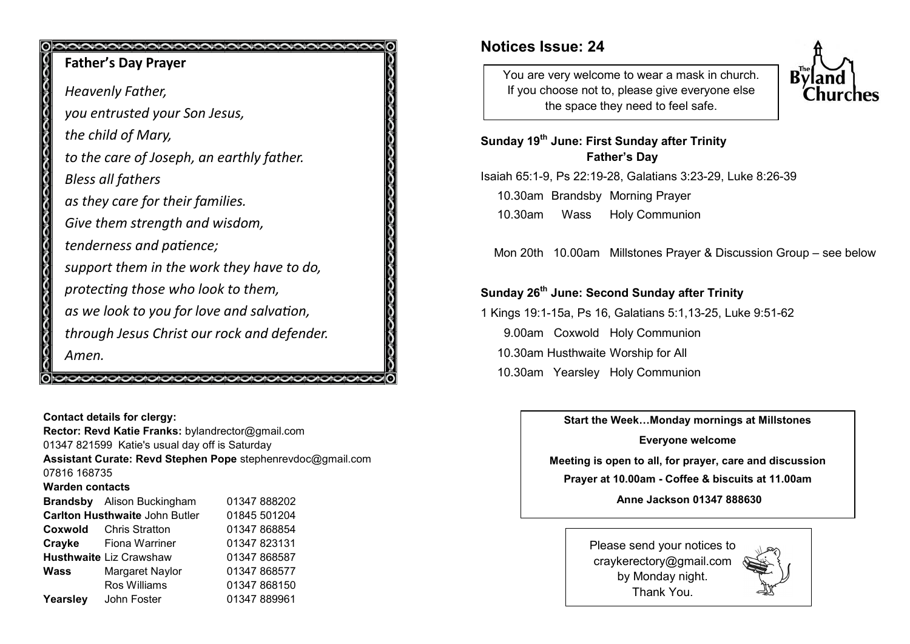# 0 0000000000000000000000000000 **Father's Day Prayer** *Heavenly Father, you entrusted your Son Jesus, the child of Mary, to the care of Joseph, an earthly father. Bless all fathers as they care for their families. Give them strength and wisdom, tenderness and patience; support them in the work they have to do, protecting those who look to them, as we look to you for love and salvation, through Jesus Christ our rock and defender. Amen.*  **ONONONONONONONONONONONONONONONONO**

**Contact details for clergy: Rector: Revd Katie Franks:** bylandrector@gmail.com 01347 821599 Katie's usual day off is Saturday **Assistant Curate: Revd Stephen Pope** stephenrevdoc@gmail.com 07816 168735 **Warden contacts Brandsby** Alison Buckingham 01347 888202 **Carlton Husthwaite John Butler 01845 501204 Coxwold** Chris Stratton 01347 868854 **Crayke** Fiona Warriner 01347 823131 **Husthwaite** Liz Crawshaw 01347 868587 **Wass** Margaret Naylor 01347 868577 Ros Williams 01347 868150 Yearsley John Foster 01347 889961

# **Notices Issue: 24**

You are very welcome to wear a mask in church. If you choose not to, please give everyone else the space they need to feel safe.



**Sunday 19th June: First Sunday after Trinity Father's Day**

Isaiah 65:1-9, Ps 22:19-28, Galatians 3:23-29, Luke 8:26-39 10.30am Brandsby Morning Prayer 10.30am Wass Holy Communion

Mon 20th 10.00am Millstones Prayer & Discussion Group – see below

### **Sunday 26th June: Second Sunday after Trinity**

1 Kings 19:1-15a, Ps 16, Galatians 5:1,13-25, Luke 9:51-62 9.00am Coxwold Holy Communion 10.30am Husthwaite Worship for All 10.30am Yearsley Holy Communion

**Start the Week…Monday mornings at Millstones**

**Everyone welcome Meeting is open to all, for prayer, care and discussion**

**Prayer at 10.00am - Coffee & biscuits at 11.00am**

**Anne Jackson 01347 888630**

Please send your notices to craykerectory@gmail.com by Monday night. Thank You.